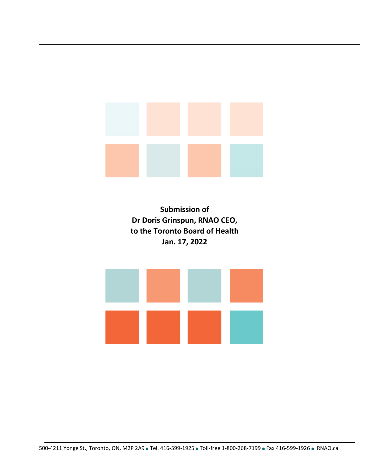**Submission of Dr Doris Grinspun, RNAO CEO, to the Toronto Board of Health Jan. 17, 2022** 

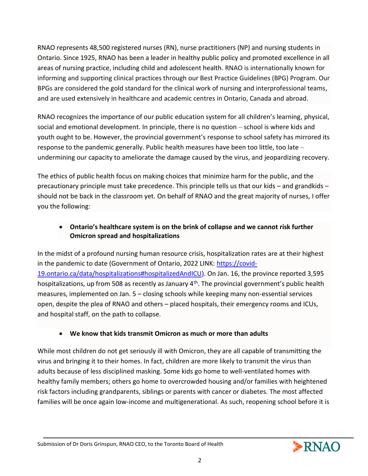RNAO represents 48,500 registered nurses (RN), nurse practitioners (NP) and nursing students in Ontario. Since 1925, RNAO has been a leader in healthy public policy and promoted excellence in all areas of nursing practice, including child and adolescent health. RNAO is internationally known for informing and supporting clinical practices through our Best Practice Guidelines (BPG) Program. Our BPGs are considered the gold standard for the clinical work of nursing and interprofessional teams, and are used extensively in healthcare and academic centres in Ontario, Canada and abroad.

RNAO recognizes the importance of our public education system for all children's learning, physical, social and emotional development. In principle, there is no question – school is where kids and youth ought to be. However, the provincial government's response to school safety has mirrored its response to the pandemic generally. Public health measures have been too little, too late – undermining our capacity to ameliorate the damage caused by the virus, and jeopardizing recovery.

The ethics of public health focus on making choices that minimize harm for the public, and the precautionary principle must take precedence. This principle tells us that our kids – and grandkids – should not be back in the classroom yet. On behalf of RNAO and the great majority of nurses, I offer you the following:

## • **Ontario's healthcare system is on the brink of collapse and we cannot risk further Omicron spread and hospitalizations**

In the midst of a profound nursing human resource crisis, hospitalization rates are at their highest in the pandemic to date (Government of Ontario, 2022 LINK: [https://covid-](https://covid-19.ontario.ca/data/hospitalizations#hospitalizedAndICU)[19.ontario.ca/data/hospitalizations#hospitalizedAndICU\)](https://covid-19.ontario.ca/data/hospitalizations#hospitalizedAndICU). On Jan. 16, the province reported 3,595 hospitalizations, up from 508 as recently as January 4<sup>th</sup>. The provincial government's public health measures, implemented on Jan. 5 – closing schools while keeping many non-essential services open, despite the plea of RNAO and others – placed hospitals, their emergency rooms and ICUs, and hospital staff, on the path to collapse.

# • **We know that kids transmit Omicron as much or more than adults**

While most children do not get seriously ill with Omicron, they are all capable of transmitting the virus and bringing it to their homes. In fact, children are more likely to transmit the virus than adults because of less disciplined masking. Some kids go home to well-ventilated homes with healthy family members; others go home to overcrowded housing and/or families with heightened risk factors including grandparents, siblings or parents with cancer or diabetes. The most affected families will be once again low-income and multigenerational. As such, reopening school before it is

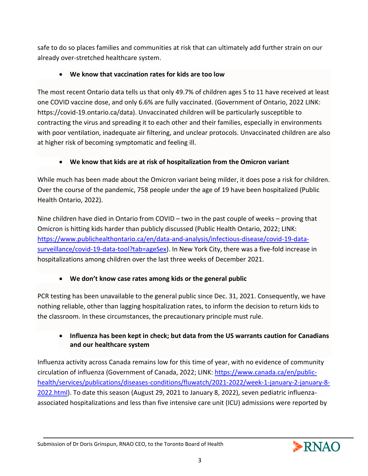safe to do so places families and communities at risk that can ultimately add further strain on our already over-stretched healthcare system.

# • **We know that vaccination rates for kids are too low**

The most recent Ontario data tells us that only 49.7% of children ages 5 to 11 have received at least one COVID vaccine dose, and only 6.6% are fully vaccinated. (Government of Ontario, 2022 LINK: https://covid-19.ontario.ca/data). Unvaccinated children will be particularly susceptible to contracting the virus and spreading it to each other and their families, especially in environments with poor ventilation, inadequate air filtering, and unclear protocols. Unvaccinated children are also at higher risk of becoming symptomatic and feeling ill.

# • **We know that kids are at risk of hospitalization from the Omicron variant**

While much has been made about the Omicron variant being milder, it does pose a risk for children. Over the course of the pandemic, 758 people under the age of 19 have been hospitalized (Public Health Ontario, 2022).

Nine children have died in Ontario from COVID – two in the past couple of weeks – proving that Omicron is hitting kids harder than publicly discussed (Public Health Ontario, 2022; LINK: [https://www.publichealthontario.ca/en/data-and-analysis/infectious-disease/covid-19-data](https://www.publichealthontario.ca/en/data-and-analysis/infectious-disease/covid-19-data-surveillance/covid-19-data-tool?tab=ageSex)[surveillance/covid-19-data-tool?tab=ageSex\)](https://www.publichealthontario.ca/en/data-and-analysis/infectious-disease/covid-19-data-surveillance/covid-19-data-tool?tab=ageSex). In New York City, there was a five-fold increase in hospitalizations among children over the last three weeks of December 2021.

# • **We don't know case rates among kids or the general public**

PCR testing has been unavailable to the general public since Dec. 31, 2021. Consequently, we have nothing reliable, other than lagging hospitalization rates, to inform the decision to return kids to the classroom. In these circumstances, the precautionary principle must rule.

# • **Influenza has been kept in check; but data from the US warrants caution for Canadians and our healthcare system**

Influenza activity across Canada remains low for this time of year, with no evidence of community circulation of influenza (Government of Canada, 2022; LINK: [https://www.canada.ca/en/public](https://www.canada.ca/en/public-health/services/publications/diseases-conditions/fluwatch/2021-2022/week-1-january-2-january-8-2022.html)[health/services/publications/diseases-conditions/fluwatch/2021-2022/week-1-january-2-january-8-](https://www.canada.ca/en/public-health/services/publications/diseases-conditions/fluwatch/2021-2022/week-1-january-2-january-8-2022.html) [2022.html\)](https://www.canada.ca/en/public-health/services/publications/diseases-conditions/fluwatch/2021-2022/week-1-january-2-january-8-2022.html). To date this season (August 29, 2021 to January 8, 2022), seven pediatric influenzaassociated hospitalizations and less than five intensive care unit (ICU) admissions were reported by

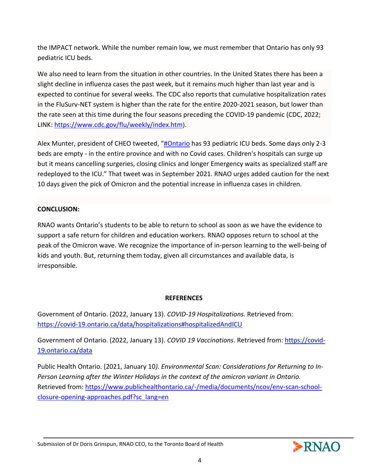the IMPACT network. While the number remain low, we must remember that Ontario has only 93 pediatric ICU beds.

We also need to learn from the situation in other countries. In the United States there has been a slight decline in influenza cases the past week, but it remains much higher than last year and is expected to continue for several weeks. The CDC also reports that cumulative hospitalization rates in the FluSurv-NET system is higher than the rate for the entire 2020-2021 season, but lower than the rate seen at this time during the four seasons preceding the COVID-19 pandemic (CDC, 2022; LINK: <https://www.cdc.gov/flu/weekly/index.htm>).

Alex Munter, president of CHEO tweeted, "[#Ontario](https://twitter.com/hashtag/Ontario?src=hashtag_click) has 93 pediatric ICU beds. Some days only 2-3 beds are empty - in the entire province and with no Covid cases. Children's hospitals can surge up but it means cancelling surgeries, closing clinics and longer Emergency waits as specialized staff are redeployed to the ICU." That tweet was in September 2021. RNAO urges added caution for the next 10 days given the pick of Omicron and the potential increase in influenza cases in children.

### **CONCLUSION:**

RNAO wants Ontario's students to be able to return to school as soon as we have the evidence to support a safe return for children and education workers. RNAO opposes return to school at the peak of the Omicron wave. We recognize the importance of in-person learning to the well-being of kids and youth. But, returning them today, given all circumstances and available data, is irresponsible.

#### **REFERENCES**

Government of Ontario. (2022, January 13). *COVID-19 Hospitalizations.* Retrieved from: <https://covid-19.ontario.ca/data/hospitalizations#hospitalizedAndICU>

Government of Ontario. (2022, January 13). *COVID 19 Vaccinations*. Retrieved from: [https://covid-](https://covid-19.ontario.ca/data)[19.ontario.ca/data](https://covid-19.ontario.ca/data)

Public Health Ontario. (2021, January 10*). Environmental Scan: Considerations for Returning to In-Person Learning after the Winter Holidays in the context of the omicron variant in Ontario.* Retrieved from: [https://www.publichealthontario.ca/-/media/documents/ncov/env-scan-school](https://www.publichealthontario.ca/-/media/documents/ncov/env-scan-school-closure-opening-approaches.pdf?sc_lang=en)[closure-opening-approaches.pdf?sc\\_lang=en](https://www.publichealthontario.ca/-/media/documents/ncov/env-scan-school-closure-opening-approaches.pdf?sc_lang=en)